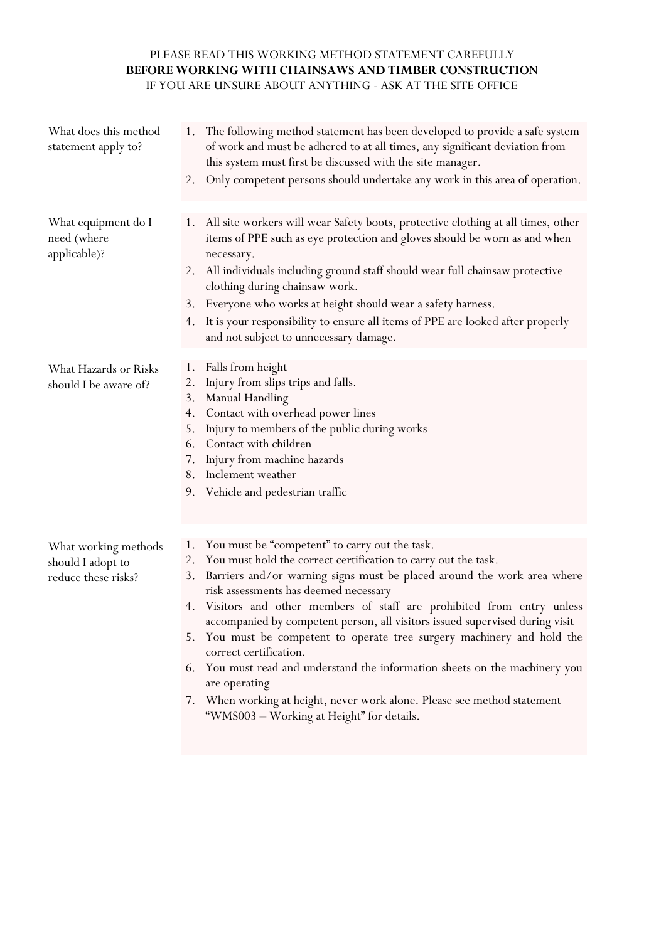## PLEASE READ THIS WORKING METHOD STATEMENT CAREFULLY **BEFORE WORKING WITH CHAINSAWS AND TIMBER CONSTRUCTION** IF YOU ARE UNSURE ABOUT ANYTHING - ASK AT THE SITE OFFICE

| What does this method<br>statement apply to?                     | The following method statement has been developed to provide a safe system<br>1.<br>of work and must be adhered to at all times, any significant deviation from<br>this system must first be discussed with the site manager.<br>Only competent persons should undertake any work in this area of operation.<br>2.                                                                                                                                                                                                                                                                                                           |
|------------------------------------------------------------------|------------------------------------------------------------------------------------------------------------------------------------------------------------------------------------------------------------------------------------------------------------------------------------------------------------------------------------------------------------------------------------------------------------------------------------------------------------------------------------------------------------------------------------------------------------------------------------------------------------------------------|
|                                                                  |                                                                                                                                                                                                                                                                                                                                                                                                                                                                                                                                                                                                                              |
| What equipment do I<br>need (where<br>applicable)?               | 1. All site workers will wear Safety boots, protective clothing at all times, other<br>items of PPE such as eye protection and gloves should be worn as and when<br>necessary.<br>All individuals including ground staff should wear full chainsaw protective<br>2.                                                                                                                                                                                                                                                                                                                                                          |
|                                                                  | clothing during chainsaw work.<br>Everyone who works at height should wear a safety harness.<br>3.                                                                                                                                                                                                                                                                                                                                                                                                                                                                                                                           |
|                                                                  | It is your responsibility to ensure all items of PPE are looked after properly<br>4.<br>and not subject to unnecessary damage.                                                                                                                                                                                                                                                                                                                                                                                                                                                                                               |
| What Hazards or Risks<br>should I be aware of?                   | Falls from height<br>1.<br>Injury from slips trips and falls.<br>2.<br>3.<br><b>Manual Handling</b><br>Contact with overhead power lines<br>4.<br>Injury to members of the public during works<br>5.<br>6.<br>Contact with children<br>Injury from machine hazards<br>7.<br>8.<br>Inclement weather<br>9. Vehicle and pedestrian traffic                                                                                                                                                                                                                                                                                     |
|                                                                  |                                                                                                                                                                                                                                                                                                                                                                                                                                                                                                                                                                                                                              |
| What working methods<br>should I adopt to<br>reduce these risks? | You must be "competent" to carry out the task.<br>1.<br>You must hold the correct certification to carry out the task.<br>2.<br>Barriers and/or warning signs must be placed around the work area where<br>3.<br>risk assessments has deemed necessary<br>Visitors and other members of staff are prohibited from entry unless<br>4.<br>accompanied by competent person, all visitors issued supervised during visit<br>You must be competent to operate tree surgery machinery and hold the<br>5.<br>correct certification.<br>6. You must read and understand the information sheets on the machinery you<br>are operating |
|                                                                  | $\mathbf{Y} \mathbf{Y} \mathbf{Y} \mathbf{Y} \mathbf{Y} \mathbf{Y} \mathbf{Y} \mathbf{Y} \mathbf{Y} \mathbf{Y} \mathbf{Y} \mathbf{Y} \mathbf{Y} \mathbf{Y} \mathbf{Y} \mathbf{Y} \mathbf{Y} \mathbf{Y} \mathbf{Y} \mathbf{Y} \mathbf{Y} \mathbf{Y} \mathbf{Y} \mathbf{Y} \mathbf{Y} \mathbf{Y} \mathbf{Y} \mathbf{Y} \mathbf{Y} \mathbf{Y} \mathbf{Y} \mathbf{Y} \mathbf{Y} \mathbf{Y} \mathbf{Y} \mathbf{Y} \mathbf{$<br>$\mathbf{D}^1$                                                                                                                                                                                     |

7. When working at height, never work alone. Please see method statement "WMS003 – Working at Height" for details.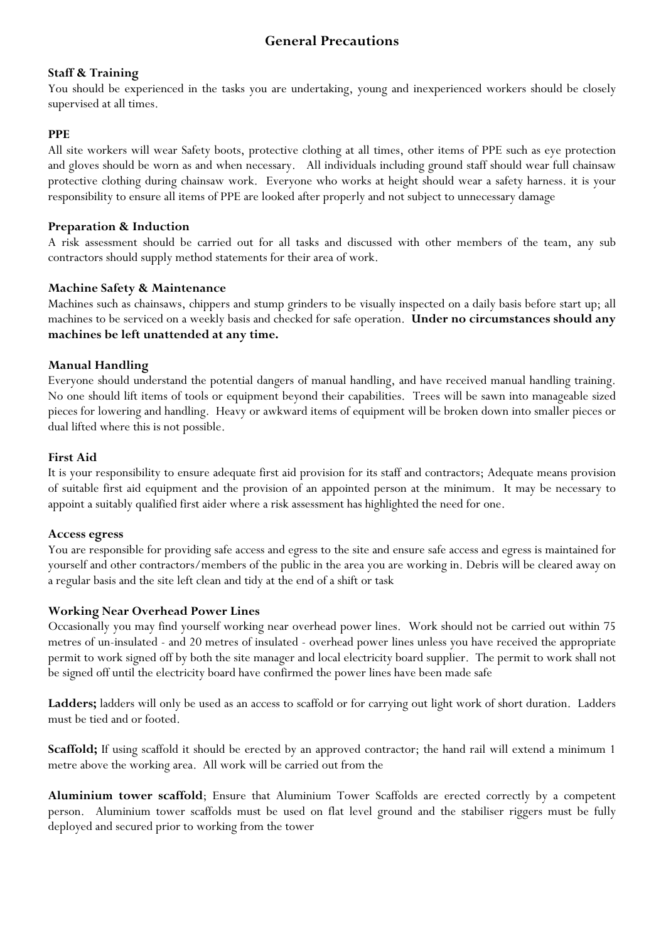## **General Precautions**

#### **Staff & Training**

You should be experienced in the tasks you are undertaking, young and inexperienced workers should be closely supervised at all times.

#### **PPE**

All site workers will wear Safety boots, protective clothing at all times, other items of PPE such as eye protection and gloves should be worn as and when necessary. All individuals including ground staff should wear full chainsaw protective clothing during chainsaw work. Everyone who works at height should wear a safety harness. it is your responsibility to ensure all items of PPE are looked after properly and not subject to unnecessary damage

#### **Preparation & Induction**

A risk assessment should be carried out for all tasks and discussed with other members of the team, any sub contractors should supply method statements for their area of work.

#### **Machine Safety & Maintenance**

Machines such as chainsaws, chippers and stump grinders to be visually inspected on a daily basis before start up; all machines to be serviced on a weekly basis and checked for safe operation. **Under no circumstances should any machines be left unattended at any time.**

#### **Manual Handling**

Everyone should understand the potential dangers of manual handling, and have received manual handling training. No one should lift items of tools or equipment beyond their capabilities. Trees will be sawn into manageable sized pieces for lowering and handling. Heavy or awkward items of equipment will be broken down into smaller pieces or dual lifted where this is not possible.

#### **First Aid**

It is your responsibility to ensure adequate first aid provision for its staff and contractors; Adequate means provision of suitable first aid equipment and the provision of an appointed person at the minimum. It may be necessary to appoint a suitably qualified first aider where a risk assessment has highlighted the need for one.

#### **Access egress**

You are responsible for providing safe access and egress to the site and ensure safe access and egress is maintained for yourself and other contractors/members of the public in the area you are working in. Debris will be cleared away on a regular basis and the site left clean and tidy at the end of a shift or task

#### **Working Near Overhead Power Lines**

Occasionally you may find yourself working near overhead power lines. Work should not be carried out within 75 metres of un-insulated - and 20 metres of insulated - overhead power lines unless you have received the appropriate permit to work signed off by both the site manager and local electricity board supplier. The permit to work shall not be signed off until the electricity board have confirmed the power lines have been made safe

**Ladders;** ladders will only be used as an access to scaffold or for carrying out light work of short duration. Ladders must be tied and or footed.

**Scaffold;** If using scaffold it should be erected by an approved contractor; the hand rail will extend a minimum 1 metre above the working area. All work will be carried out from the

**Aluminium tower scaffold**; Ensure that Aluminium Tower Scaffolds are erected correctly by a competent person. Aluminium tower scaffolds must be used on flat level ground and the stabiliser riggers must be fully deployed and secured prior to working from the tower